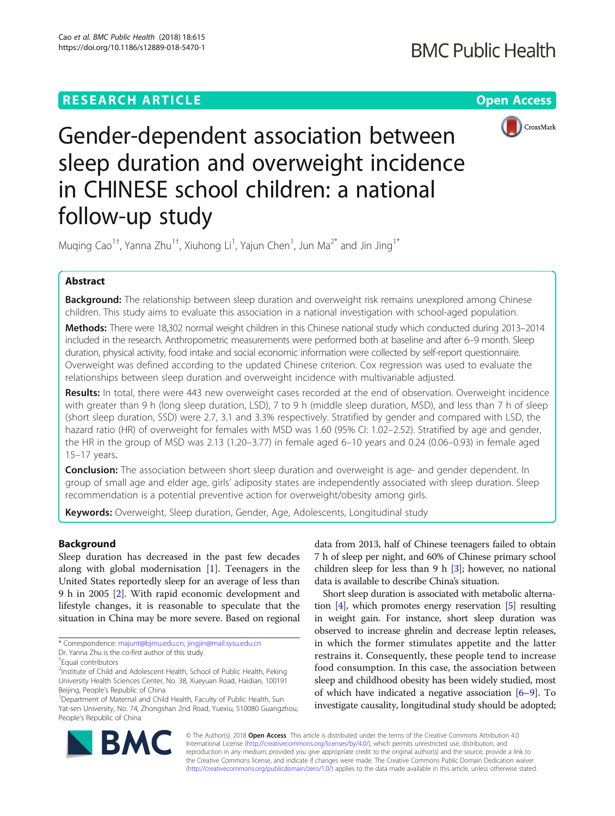## **RESEARCH ARTICLE Example 2018 12:30 The Contract of Contract ACCESS**



# Gender-dependent association between sleep duration and overweight incidence in CHINESE school children: a national follow-up study

Muqing Cao $^{1\dagger}$ , Yanna Zhu $^{1\dagger}$ , Xiuhong Li $^{1}$ , Yajun Chen $^{1}$ , Jun Ma $^{2^\ast}$  and Jin Jing $^{1^\ast}$ 

## Abstract

**Background:** The relationship between sleep duration and overweight risk remains unexplored among Chinese children. This study aims to evaluate this association in a national investigation with school-aged population.

Methods: There were 18,302 normal weight children in this Chinese national study which conducted during 2013–2014 included in the research. Anthropometric measurements were performed both at baseline and after 6–9 month. Sleep duration, physical activity, food intake and social economic information were collected by self-report questionnaire. Overweight was defined according to the updated Chinese criterion. Cox regression was used to evaluate the relationships between sleep duration and overweight incidence with multivariable adjusted.

Results: In total, there were 443 new overweight cases recorded at the end of observation. Overweight incidence with greater than 9 h (long sleep duration, LSD), 7 to 9 h (middle sleep duration, MSD), and less than 7 h of sleep (short sleep duration, SSD) were 2.7, 3.1 and 3.3% respectively. Stratified by gender and compared with LSD, the hazard ratio (HR) of overweight for females with MSD was 1.60 (95% CI: 1.02–2.52). Stratified by age and gender, the HR in the group of MSD was 2.13 (1.20–3.77) in female aged 6–10 years and 0.24 (0.06–0.93) in female aged 15–17 years.

**Conclusion:** The association between short sleep duration and overweight is age- and gender dependent. In group of small age and elder age, girls' adiposity states are independently associated with sleep duration. Sleep recommendation is a potential preventive action for overweight/obesity among girls.

Keywords: Overweight, Sleep duration, Gender, Age, Adolescents, Longitudinal study

## Background

Sleep duration has decreased in the past few decades along with global modernisation [[1\]](#page-7-0). Teenagers in the United States reportedly sleep for an average of less than 9 h in 2005 [\[2](#page-7-0)]. With rapid economic development and lifestyle changes, it is reasonable to speculate that the situation in China may be more severe. Based on regional

\* Correspondence: [majunt@bjmu.edu.cn](mailto:majunt@bjmu.edu.cn); [jingjin@mail.sysu.edu.cn](mailto:jingjin@mail.sysu.edu.cn)

<sup>1</sup> Department of Maternal and Child Health, Faculty of Public Health, Sun Yat-sen University, No. 74, Zhongshan 2nd Road, Yuexiu, 510080 Guangzhou, People's Republic of China

data from 2013, half of Chinese teenagers failed to obtain 7 h of sleep per night, and 60% of Chinese primary school children sleep for less than 9 h [[3\]](#page-7-0); however, no national data is available to describe China's situation.

Short sleep duration is associated with metabolic alternation [[4](#page-7-0)], which promotes energy reservation [\[5\]](#page-7-0) resulting in weight gain. For instance, short sleep duration was observed to increase ghrelin and decrease leptin releases, in which the former stimulates appetite and the latter restrains it. Consequently, these people tend to increase food consumption. In this case, the association between sleep and childhood obesity has been widely studied, most of which have indicated a negative association  $[6-9]$  $[6-9]$  $[6-9]$ . To investigate causality, longitudinal study should be adopted;



© The Author(s). 2018 Open Access This article is distributed under the terms of the Creative Commons Attribution 4.0 International License [\(http://creativecommons.org/licenses/by/4.0/](http://creativecommons.org/licenses/by/4.0/)), which permits unrestricted use, distribution, and reproduction in any medium, provided you give appropriate credit to the original author(s) and the source, provide a link to the Creative Commons license, and indicate if changes were made. The Creative Commons Public Domain Dedication waiver [\(http://creativecommons.org/publicdomain/zero/1.0/](http://creativecommons.org/publicdomain/zero/1.0/)) applies to the data made available in this article, unless otherwise stated.

Dr. Yanna Zhu is the co-first author of this study.

<sup>†</sup> Equal contributors

<sup>&</sup>lt;sup>2</sup>Institute of Child and Adolescent Health, School of Public Health, Peking University Health Sciences Center, No. 38, Xueyuan Road, Haidian, 100191 Beijing, People's Republic of China <sup>1</sup>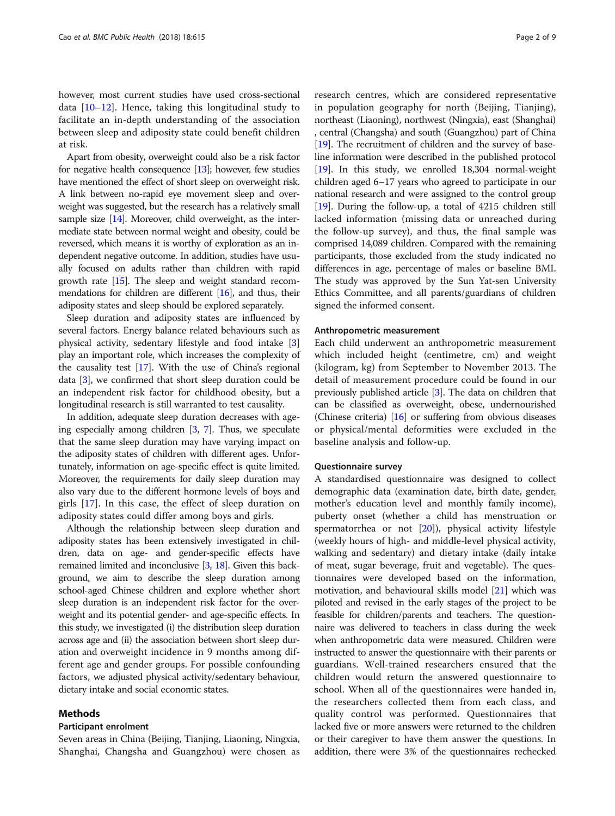however, most current studies have used cross-sectional data  $[10-12]$  $[10-12]$  $[10-12]$  $[10-12]$ . Hence, taking this longitudinal study to facilitate an in-depth understanding of the association between sleep and adiposity state could benefit children at risk.

Apart from obesity, overweight could also be a risk factor for negative health consequence  $[13]$  $[13]$ ; however, few studies have mentioned the effect of short sleep on overweight risk. A link between no-rapid eye movement sleep and overweight was suggested, but the research has a relatively small sample size [[14](#page-8-0)]. Moreover, child overweight, as the intermediate state between normal weight and obesity, could be reversed, which means it is worthy of exploration as an independent negative outcome. In addition, studies have usually focused on adults rather than children with rapid growth rate [\[15\]](#page-8-0). The sleep and weight standard recommendations for children are different [[16](#page-8-0)], and thus, their adiposity states and sleep should be explored separately.

Sleep duration and adiposity states are influenced by several factors. Energy balance related behaviours such as physical activity, sedentary lifestyle and food intake [[3](#page-7-0)] play an important role, which increases the complexity of the causality test [\[17\]](#page-8-0). With the use of China's regional data [[3\]](#page-7-0), we confirmed that short sleep duration could be an independent risk factor for childhood obesity, but a longitudinal research is still warranted to test causality.

In addition, adequate sleep duration decreases with ageing especially among children [\[3](#page-7-0), [7](#page-7-0)]. Thus, we speculate that the same sleep duration may have varying impact on the adiposity states of children with different ages. Unfortunately, information on age-specific effect is quite limited. Moreover, the requirements for daily sleep duration may also vary due to the different hormone levels of boys and girls [[17\]](#page-8-0). In this case, the effect of sleep duration on adiposity states could differ among boys and girls.

Although the relationship between sleep duration and adiposity states has been extensively investigated in children, data on age- and gender-specific effects have remained limited and inconclusive [[3](#page-7-0), [18\]](#page-8-0). Given this background, we aim to describe the sleep duration among school-aged Chinese children and explore whether short sleep duration is an independent risk factor for the overweight and its potential gender- and age-specific effects. In this study, we investigated (i) the distribution sleep duration across age and (ii) the association between short sleep duration and overweight incidence in 9 months among different age and gender groups. For possible confounding factors, we adjusted physical activity/sedentary behaviour, dietary intake and social economic states.

## Methods

## Participant enrolment

Seven areas in China (Beijing, Tianjing, Liaoning, Ningxia, Shanghai, Changsha and Guangzhou) were chosen as

research centres, which are considered representative in population geography for north (Beijing, Tianjing), northeast (Liaoning), northwest (Ningxia), east (Shanghai) , central (Changsha) and south (Guangzhou) part of China [[19](#page-8-0)]. The recruitment of children and the survey of baseline information were described in the published protocol [[19](#page-8-0)]. In this study, we enrolled 18,304 normal-weight children aged 6–17 years who agreed to participate in our national research and were assigned to the control group [[19](#page-8-0)]. During the follow-up, a total of 4215 children still lacked information (missing data or unreached during the follow-up survey), and thus, the final sample was comprised 14,089 children. Compared with the remaining participants, those excluded from the study indicated no differences in age, percentage of males or baseline BMI. The study was approved by the Sun Yat-sen University Ethics Committee, and all parents/guardians of children signed the informed consent.

## Anthropometric measurement

Each child underwent an anthropometric measurement which included height (centimetre, cm) and weight (kilogram, kg) from September to November 2013. The detail of measurement procedure could be found in our previously published article [\[3\]](#page-7-0). The data on children that can be classified as overweight, obese, undernourished (Chinese criteria) [[16](#page-8-0)] or suffering from obvious diseases or physical/mental deformities were excluded in the baseline analysis and follow-up.

## Questionnaire survey

A standardised questionnaire was designed to collect demographic data (examination date, birth date, gender, mother's education level and monthly family income), puberty onset (whether a child has menstruation or spermatorrhea or not [[20\]](#page-8-0)), physical activity lifestyle (weekly hours of high- and middle-level physical activity, walking and sedentary) and dietary intake (daily intake of meat, sugar beverage, fruit and vegetable). The questionnaires were developed based on the information, motivation, and behavioural skills model [\[21\]](#page-8-0) which was piloted and revised in the early stages of the project to be feasible for children/parents and teachers. The questionnaire was delivered to teachers in class during the week when anthropometric data were measured. Children were instructed to answer the questionnaire with their parents or guardians. Well-trained researchers ensured that the children would return the answered questionnaire to school. When all of the questionnaires were handed in, the researchers collected them from each class, and quality control was performed. Questionnaires that lacked five or more answers were returned to the children or their caregiver to have them answer the questions. In addition, there were 3% of the questionnaires rechecked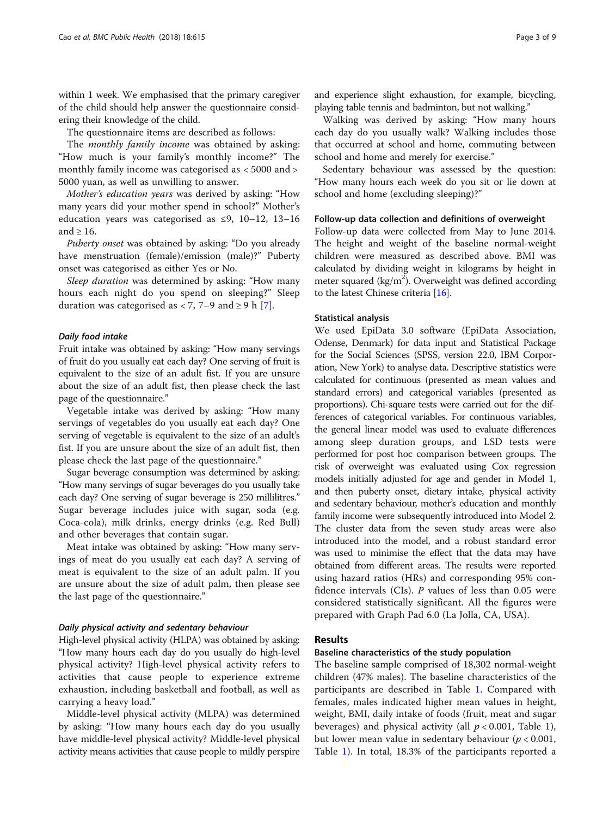within 1 week. We emphasised that the primary caregiver of the child should help answer the questionnaire considering their knowledge of the child.

The questionnaire items are described as follows:

The monthly family income was obtained by asking: "How much is your family's monthly income?" The monthly family income was categorised as < 5000 and > 5000 yuan, as well as unwilling to answer.

Mother's education years was derived by asking: "How many years did your mother spend in school?" Mother's education years was categorised as  $\leq$ 9, 10–12, 13–16 and  $\geq 16$ .

Puberty onset was obtained by asking: "Do you already have menstruation (female)/emission (male)?" Puberty onset was categorised as either Yes or No.

Sleep duration was determined by asking: "How many hours each night do you spend on sleeping?" Sleep duration was categorised as  $\langle 7, 7-9 \rangle$  and  $\geq 9$  h [\[7](#page-7-0)].

### Daily food intake

Fruit intake was obtained by asking: "How many servings of fruit do you usually eat each day? One serving of fruit is equivalent to the size of an adult fist. If you are unsure about the size of an adult fist, then please check the last page of the questionnaire."

Vegetable intake was derived by asking: "How many servings of vegetables do you usually eat each day? One serving of vegetable is equivalent to the size of an adult's fist. If you are unsure about the size of an adult fist, then please check the last page of the questionnaire."

Sugar beverage consumption was determined by asking: "How many servings of sugar beverages do you usually take each day? One serving of sugar beverage is 250 millilitres." Sugar beverage includes juice with sugar, soda (e.g. Coca-cola), milk drinks, energy drinks (e.g. Red Bull) and other beverages that contain sugar.

Meat intake was obtained by asking: "How many servings of meat do you usually eat each day? A serving of meat is equivalent to the size of an adult palm. If you are unsure about the size of adult palm, then please see the last page of the questionnaire."

#### Daily physical activity and sedentary behaviour

High-level physical activity (HLPA) was obtained by asking: "How many hours each day do you usually do high-level physical activity? High-level physical activity refers to activities that cause people to experience extreme exhaustion, including basketball and football, as well as carrying a heavy load."

Middle-level physical activity (MLPA) was determined by asking: "How many hours each day do you usually have middle-level physical activity? Middle-level physical activity means activities that cause people to mildly perspire and experience slight exhaustion, for example, bicycling, playing table tennis and badminton, but not walking."

Walking was derived by asking: "How many hours each day do you usually walk? Walking includes those that occurred at school and home, commuting between school and home and merely for exercise."

Sedentary behaviour was assessed by the question: "How many hours each week do you sit or lie down at school and home (excluding sleeping)?"

## Follow-up data collection and definitions of overweight

Follow-up data were collected from May to June 2014. The height and weight of the baseline normal-weight children were measured as described above. BMI was calculated by dividing weight in kilograms by height in meter squared ( $\text{kg/m}^2$ ). Overweight was defined according to the latest Chinese criteria [[16](#page-8-0)].

## Statistical analysis

We used EpiData 3.0 software (EpiData Association, Odense, Denmark) for data input and Statistical Package for the Social Sciences (SPSS, version 22.0, IBM Corporation, New York) to analyse data. Descriptive statistics were calculated for continuous (presented as mean values and standard errors) and categorical variables (presented as proportions). Chi-square tests were carried out for the differences of categorical variables. For continuous variables, the general linear model was used to evaluate differences among sleep duration groups, and LSD tests were performed for post hoc comparison between groups. The risk of overweight was evaluated using Cox regression models initially adjusted for age and gender in Model 1, and then puberty onset, dietary intake, physical activity and sedentary behaviour, mother's education and monthly family income were subsequently introduced into Model 2. The cluster data from the seven study areas were also introduced into the model, and a robust standard error was used to minimise the effect that the data may have obtained from different areas. The results were reported using hazard ratios (HRs) and corresponding 95% confidence intervals (CIs). P values of less than 0.05 were considered statistically significant. All the figures were prepared with Graph Pad 6.0 (La Jolla, CA, USA).

## Results

## Baseline characteristics of the study population

The baseline sample comprised of 18,302 normal-weight children (47% males). The baseline characteristics of the participants are described in Table [1](#page-3-0). Compared with females, males indicated higher mean values in height, weight, BMI, daily intake of foods (fruit, meat and sugar beverages) and physical activity (all  $p < 0.001$  $p < 0.001$ , Table 1), but lower mean value in sedentary behaviour ( $p < 0.001$ , Table [1](#page-3-0)). In total, 18.3% of the participants reported a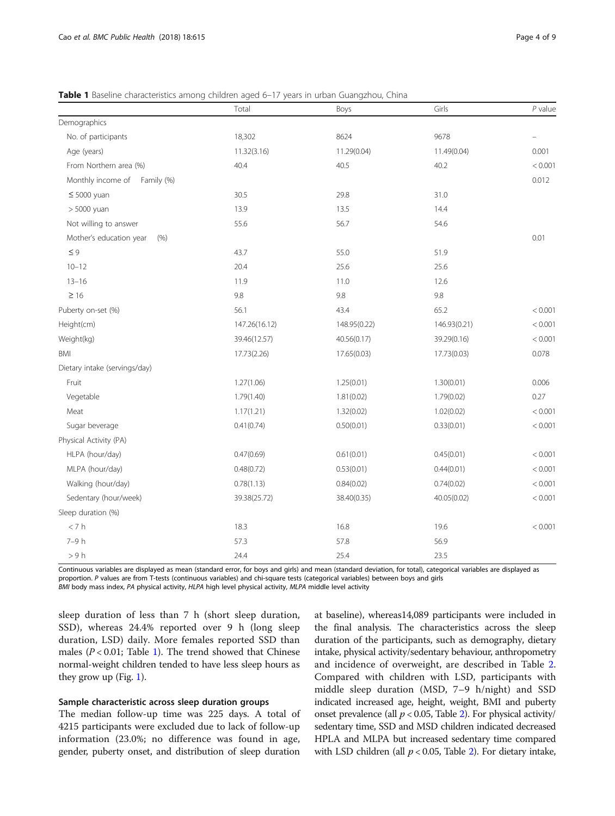<span id="page-3-0"></span>

|  | Table 1 Baseline characteristics among children aged 6-17 years in urban Guangzhou, China |  |  |  |  |
|--|-------------------------------------------------------------------------------------------|--|--|--|--|
|  |                                                                                           |  |  |  |  |

|                                 | Total         | Boys         | Girls        | $P$ value |
|---------------------------------|---------------|--------------|--------------|-----------|
| Demographics                    |               |              |              |           |
| No. of participants             | 18,302        | 8624         | 9678         |           |
| Age (years)                     | 11.32(3.16)   | 11.29(0.04)  | 11.49(0.04)  | 0.001     |
| From Northern area (%)          | 40.4          | 40.5         | 40.2         | < 0.001   |
| Monthly income of<br>Family (%) |               |              |              | 0.012     |
| $\leq 5000$ yuan                | 30.5          | 29.8         | 31.0         |           |
| > 5000 yuan                     | 13.9          | 13.5         | 14.4         |           |
| Not willing to answer           | 55.6          | 56.7         | 54.6         |           |
| Mother's education year<br>(% ) |               |              |              | 0.01      |
| $\leq 9$                        | 43.7          | 55.0         | 51.9         |           |
| $10 - 12$                       | 20.4          | 25.6         | 25.6         |           |
| $13 - 16$                       | 11.9          | 11.0         | 12.6         |           |
| $\geq 16$                       | 9.8           | 9.8          | 9.8          |           |
| Puberty on-set (%)              | 56.1          | 43.4         | 65.2         | < 0.001   |
| Height(cm)                      | 147.26(16.12) | 148.95(0.22) | 146.93(0.21) | < 0.001   |
| Weight(kg)                      | 39.46(12.57)  | 40.56(0.17)  | 39.29(0.16)  | < 0.001   |
| <b>BMI</b>                      | 17.73(2.26)   | 17.65(0.03)  | 17.73(0.03)  | 0.078     |
| Dietary intake (servings/day)   |               |              |              |           |
| Fruit                           | 1.27(1.06)    | 1.25(0.01)   | 1.30(0.01)   | 0.006     |
| Vegetable                       | 1.79(1.40)    | 1.81(0.02)   | 1.79(0.02)   | 0.27      |
| Meat                            | 1.17(1.21)    | 1.32(0.02)   | 1.02(0.02)   | < 0.001   |
| Sugar beverage                  | 0.41(0.74)    | 0.50(0.01)   | 0.33(0.01)   | < 0.001   |
| Physical Activity (PA)          |               |              |              |           |
| HLPA (hour/day)                 | 0.47(0.69)    | 0.61(0.01)   | 0.45(0.01)   | < 0.001   |
| MLPA (hour/day)                 | 0.48(0.72)    | 0.53(0.01)   | 0.44(0.01)   | < 0.001   |
| Walking (hour/day)              | 0.78(1.13)    | 0.84(0.02)   | 0.74(0.02)   | < 0.001   |
| Sedentary (hour/week)           | 39.38(25.72)  | 38.40(0.35)  | 40.05(0.02)  | < 0.001   |
| Sleep duration (%)              |               |              |              |           |
| < 7 h                           | 18.3          | 16.8         | 19.6         | < 0.001   |
| 7-9 h                           | 57.3          | 57.8         | 56.9         |           |
| > 9 h                           | 24.4          | 25.4         | 23.5         |           |

Continuous variables are displayed as mean (standard error, for boys and girls) and mean (standard deviation, for total), categorical variables are displayed as proportion. P values are from T-tests (continuous variables) and chi-square tests (categorical variables) between boys and girls BMI body mass index, PA physical activity, HLPA high level physical activity, MLPA middle level activity

sleep duration of less than 7 h (short sleep duration, SSD), whereas 24.4% reported over 9 h (long sleep duration, LSD) daily. More females reported SSD than males ( $P < 0.01$ ; Table 1). The trend showed that Chinese normal-weight children tended to have less sleep hours as they grow up (Fig.  $1$ ).

## Sample characteristic across sleep duration groups

The median follow-up time was 225 days. A total of 4215 participants were excluded due to lack of follow-up information (23.0%; no difference was found in age, gender, puberty onset, and distribution of sleep duration at baseline), whereas14,089 participants were included in the final analysis. The characteristics across the sleep duration of the participants, such as demography, dietary intake, physical activity/sedentary behaviour, anthropometry and incidence of overweight, are described in Table [2](#page-5-0). Compared with children with LSD, participants with middle sleep duration (MSD, 7–9 h/night) and SSD indicated increased age, height, weight, BMI and puberty onset prevalence (all  $p < 0.05$ , Table [2\)](#page-5-0). For physical activity/ sedentary time, SSD and MSD children indicated decreased HPLA and MLPA but increased sedentary time compared with LSD children (all  $p < 0.05$ , Table [2\)](#page-5-0). For dietary intake,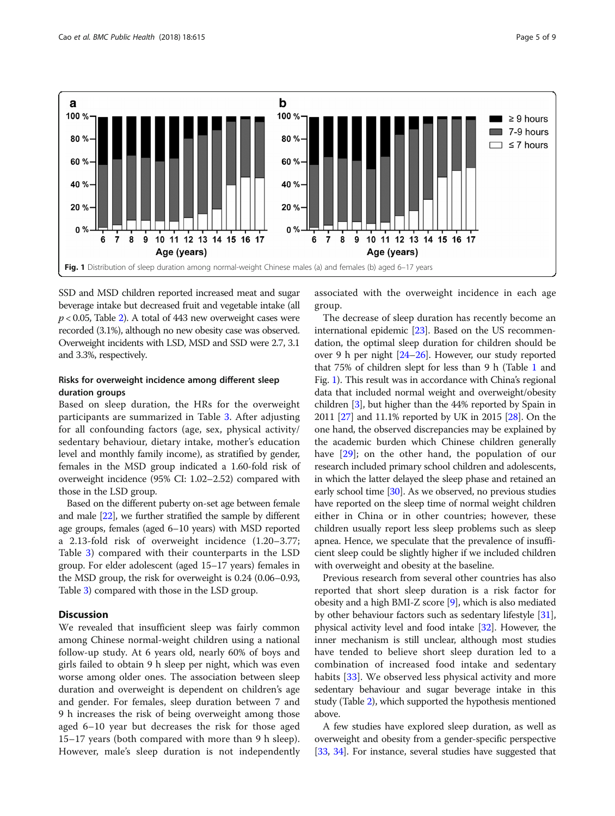<span id="page-4-0"></span>

SSD and MSD children reported increased meat and sugar beverage intake but decreased fruit and vegetable intake (all  $p < 0.05$ , Table [2\)](#page-5-0). A total of 443 new overweight cases were recorded (3.1%), although no new obesity case was observed. Overweight incidents with LSD, MSD and SSD were 2.7, 3.1 and 3.3%, respectively.

## Risks for overweight incidence among different sleep duration groups

Based on sleep duration, the HRs for the overweight participants are summarized in Table [3](#page-6-0). After adjusting for all confounding factors (age, sex, physical activity/ sedentary behaviour, dietary intake, mother's education level and monthly family income), as stratified by gender, females in the MSD group indicated a 1.60-fold risk of overweight incidence (95% CI: 1.02–2.52) compared with those in the LSD group.

Based on the different puberty on-set age between female and male [\[22\]](#page-8-0), we further stratified the sample by different age groups, females (aged 6–10 years) with MSD reported a 2.13-fold risk of overweight incidence (1.20–3.77; Table [3](#page-6-0)) compared with their counterparts in the LSD group. For elder adolescent (aged 15–17 years) females in the MSD group, the risk for overweight is 0.24 (0.06–0.93, Table [3\)](#page-6-0) compared with those in the LSD group.

## **Discussion**

We revealed that insufficient sleep was fairly common among Chinese normal-weight children using a national follow-up study. At 6 years old, nearly 60% of boys and girls failed to obtain 9 h sleep per night, which was even worse among older ones. The association between sleep duration and overweight is dependent on children's age and gender. For females, sleep duration between 7 and 9 h increases the risk of being overweight among those aged 6–10 year but decreases the risk for those aged 15–17 years (both compared with more than 9 h sleep). However, male's sleep duration is not independently

associated with the overweight incidence in each age group.

The decrease of sleep duration has recently become an international epidemic [[23](#page-8-0)]. Based on the US recommendation, the optimal sleep duration for children should be over 9 h per night [\[24](#page-8-0)–[26](#page-8-0)]. However, our study reported that 75% of children slept for less than 9 h (Table [1](#page-3-0) and Fig. 1). This result was in accordance with China's regional data that included normal weight and overweight/obesity children [[3](#page-7-0)], but higher than the 44% reported by Spain in 2011 [\[27\]](#page-8-0) and 11.1% reported by UK in 2015 [\[28\]](#page-8-0). On the one hand, the observed discrepancies may be explained by the academic burden which Chinese children generally have [[29](#page-8-0)]; on the other hand, the population of our research included primary school children and adolescents, in which the latter delayed the sleep phase and retained an early school time [[30](#page-8-0)]. As we observed, no previous studies have reported on the sleep time of normal weight children either in China or in other countries; however, these children usually report less sleep problems such as sleep apnea. Hence, we speculate that the prevalence of insufficient sleep could be slightly higher if we included children with overweight and obesity at the baseline.

Previous research from several other countries has also reported that short sleep duration is a risk factor for obesity and a high BMI-Z score [[9\]](#page-8-0), which is also mediated by other behaviour factors such as sedentary lifestyle [[31](#page-8-0)], physical activity level and food intake [\[32\]](#page-8-0). However, the inner mechanism is still unclear, although most studies have tended to believe short sleep duration led to a combination of increased food intake and sedentary habits [[33\]](#page-8-0). We observed less physical activity and more sedentary behaviour and sugar beverage intake in this study (Table [2](#page-5-0)), which supported the hypothesis mentioned above.

A few studies have explored sleep duration, as well as overweight and obesity from a gender-specific perspective [[33](#page-8-0), [34\]](#page-8-0). For instance, several studies have suggested that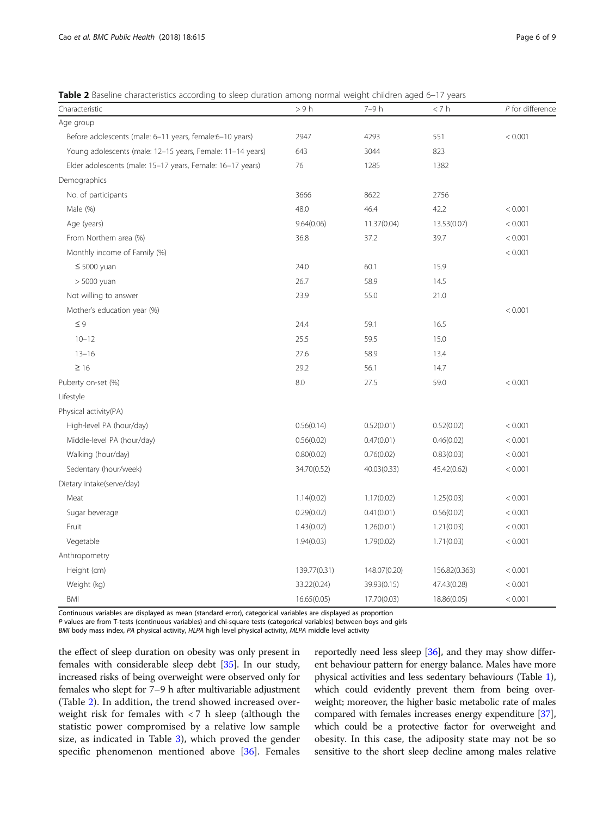<span id="page-5-0"></span>Table 2 Baseline characteristics according to sleep duration among normal weight children aged 6-17 years

| Characteristic                                             | > 9 h        | 7-9 h        | < 7 h         | $P$ for difference |
|------------------------------------------------------------|--------------|--------------|---------------|--------------------|
| Age group                                                  |              |              |               |                    |
| Before adolescents (male: 6-11 years, female:6-10 years)   | 2947         | 4293         | 551           | < 0.001            |
| Young adolescents (male: 12-15 years, Female: 11-14 years) | 643          | 3044         | 823           |                    |
| Elder adolescents (male: 15-17 years, Female: 16-17 years) | 76           | 1285         | 1382          |                    |
| Demographics                                               |              |              |               |                    |
| No. of participants                                        | 3666         | 8622         | 2756          |                    |
| Male (%)                                                   | 48.0         | 46.4         | 42.2          | < 0.001            |
| Age (years)                                                | 9.64(0.06)   | 11.37(0.04)  | 13.53(0.07)   | < 0.001            |
| From Northern area (%)                                     | 36.8         | 37.2         | 39.7          | < 0.001            |
| Monthly income of Family (%)                               |              |              |               | < 0.001            |
| $\leq 5000$ yuan                                           | 24.0         | 60.1         | 15.9          |                    |
| $> 5000$ yuan                                              | 26.7         | 58.9         | 14.5          |                    |
| Not willing to answer                                      | 23.9         | 55.0         | 21.0          |                    |
| Mother's education year (%)                                |              |              |               | < 0.001            |
| $\leq 9$                                                   | 24.4         | 59.1         | 16.5          |                    |
| $10 - 12$                                                  | 25.5         | 59.5         | 15.0          |                    |
| $13 - 16$                                                  | 27.6         | 58.9         | 13.4          |                    |
| $\geq 16$                                                  | 29.2         | 56.1         | 14.7          |                    |
| Puberty on-set (%)                                         | 8.0          | 27.5         | 59.0          | < 0.001            |
| Lifestyle                                                  |              |              |               |                    |
| Physical activity(PA)                                      |              |              |               |                    |
| High-level PA (hour/day)                                   | 0.56(0.14)   | 0.52(0.01)   | 0.52(0.02)    | < 0.001            |
| Middle-level PA (hour/day)                                 | 0.56(0.02)   | 0.47(0.01)   | 0.46(0.02)    | < 0.001            |
| Walking (hour/day)                                         | 0.80(0.02)   | 0.76(0.02)   | 0.83(0.03)    | < 0.001            |
| Sedentary (hour/week)                                      | 34.70(0.52)  | 40.03(0.33)  | 45.42(0.62)   | < 0.001            |
| Dietary intake(serve/day)                                  |              |              |               |                    |
| Meat                                                       | 1.14(0.02)   | 1.17(0.02)   | 1.25(0.03)    | < 0.001            |
| Sugar beverage                                             | 0.29(0.02)   | 0.41(0.01)   | 0.56(0.02)    | < 0.001            |
| Fruit                                                      | 1.43(0.02)   | 1.26(0.01)   | 1.21(0.03)    | < 0.001            |
| Vegetable                                                  | 1.94(0.03)   | 1.79(0.02)   | 1.71(0.03)    | < 0.001            |
| Anthropometry                                              |              |              |               |                    |
| Height (cm)                                                | 139.77(0.31) | 148.07(0.20) | 156.82(0.363) | < 0.001            |
| Weight (kg)                                                | 33.22(0.24)  | 39.93(0.15)  | 47.43(0.28)   | < 0.001            |
| BMI                                                        | 16.65(0.05)  | 17.70(0.03)  | 18.86(0.05)   | < 0.001            |

Continuous variables are displayed as mean (standard error), categorical variables are displayed as proportion

P values are from T-tests (continuous variables) and chi-square tests (categorical variables) between boys and girls

BMI body mass index, PA physical activity, HLPA high level physical activity, MLPA middle level activity

the effect of sleep duration on obesity was only present in females with considerable sleep debt [[35](#page-8-0)]. In our study, increased risks of being overweight were observed only for females who slept for 7–9 h after multivariable adjustment (Table 2). In addition, the trend showed increased overweight risk for females with  $\langle 7 \rangle$  h sleep (although the statistic power compromised by a relative low sample size, as indicated in Table [3](#page-6-0)), which proved the gender specific phenomenon mentioned above [\[36](#page-8-0)]. Females

reportedly need less sleep [\[36](#page-8-0)], and they may show different behaviour pattern for energy balance. Males have more physical activities and less sedentary behaviours (Table [1](#page-3-0)), which could evidently prevent them from being overweight; moreover, the higher basic metabolic rate of males compared with females increases energy expenditure [[37](#page-8-0)], which could be a protective factor for overweight and obesity. In this case, the adiposity state may not be so sensitive to the short sleep decline among males relative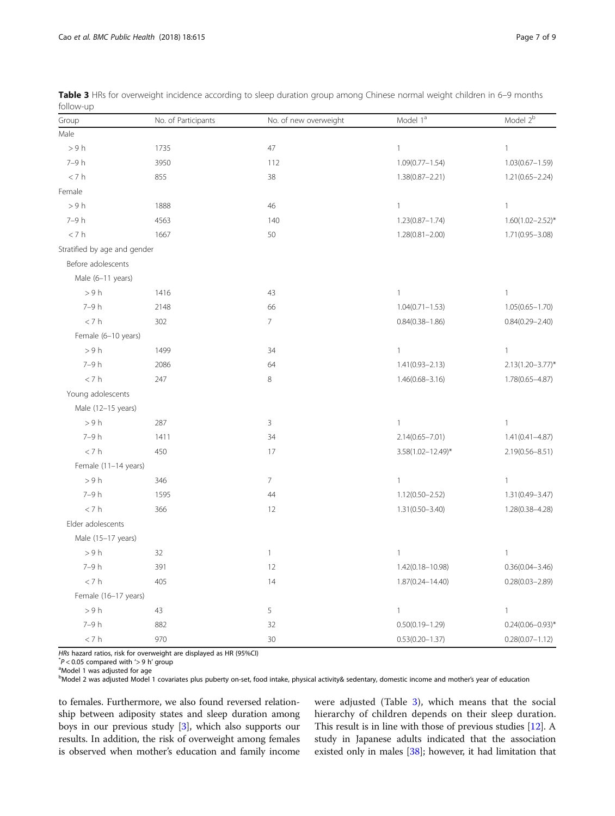| Group                        | No. of Participants | No. of new overweight | Model 1 <sup>ª</sup> | Model 2 <sup>b</sup>  |
|------------------------------|---------------------|-----------------------|----------------------|-----------------------|
| Male                         |                     |                       |                      |                       |
| > 9 h                        | 1735                | 47                    | $\mathbf{1}$         | $\mathbf{1}$          |
| 7-9 h                        | 3950                | 112                   | $1.09(0.77 - 1.54)$  | $1.03(0.67 - 1.59)$   |
| < 7 h                        | 855                 | 38                    | 1.38(0.87-2.21)      | $1.21(0.65 - 2.24)$   |
| Female                       |                     |                       |                      |                       |
| > 9 h                        | 1888                | 46                    | $\mathbf{1}$         | $\mathbf{1}$          |
| 7-9 h                        | 4563                | 140                   | $1.23(0.87 - 1.74)$  | $1.60(1.02 - 2.52)^*$ |
| < 7 h                        | 1667                | 50                    | $1.28(0.81 - 2.00)$  | $1.71(0.95 - 3.08)$   |
| Stratified by age and gender |                     |                       |                      |                       |
| Before adolescents           |                     |                       |                      |                       |
| Male (6-11 years)            |                     |                       |                      |                       |
| > 9 h                        | 1416                | 43                    | $\mathbf{1}$         | $\mathbf{1}$          |
| 7-9 h                        | 2148                | 66                    | $1.04(0.71 - 1.53)$  | $1.05(0.65 - 1.70)$   |
| < 7 h                        | 302                 | $\overline{7}$        | $0.84(0.38 - 1.86)$  | $0.84(0.29 - 2.40)$   |
| Female (6-10 years)          |                     |                       |                      |                       |
| > 9 h                        | 1499                | 34                    | $\mathbf{1}$         | $\mathbf{1}$          |
| 7-9 h                        | 2086                | 64                    | $1.41(0.93 - 2.13)$  | $2.13(1.20 - 3.77)*$  |
| < 7 h                        | 247                 | 8                     | $1.46(0.68 - 3.16)$  | 1.78(0.65-4.87)       |
| Young adolescents            |                     |                       |                      |                       |
| Male (12-15 years)           |                     |                       |                      |                       |
| > 9 h                        | 287                 | 3                     | $\mathbf{1}$         | $\mathbf{1}$          |
| 7-9 h                        | 1411                | 34                    | $2.14(0.65 - 7.01)$  | $1.41(0.41 - 4.87)$   |
| < 7 h                        | 450                 | 17                    | 3.58(1.02-12.49)*    | 2.19(0.56-8.51)       |
| Female (11-14 years)         |                     |                       |                      |                       |
| > 9 h                        | 346                 | $\overline{7}$        | $\mathbf{1}$         | $\mathbf{1}$          |
| 7-9 h                        | 1595                | 44                    | $1.12(0.50 - 2.52)$  | $1.31(0.49 - 3.47)$   |
| < 7 h                        | 366                 | 12                    | $1.31(0.50 - 3.40)$  | 1.28(0.38-4.28)       |
| Elder adolescents            |                     |                       |                      |                       |
| Male (15-17 years)           |                     |                       |                      |                       |
| > 9 h                        | 32                  | $\mathbbm{1}$         | $\mathbf{1}$         | $\mathbf{1}$          |
| 7-9 h                        | 391                 | 12                    | 1.42(0.18-10.98)     | $0.36(0.04 - 3.46)$   |
| < 7 h                        | 405                 | 14                    | 1.87(0.24-14.40)     | $0.28(0.03 - 2.89)$   |
| Female (16-17 years)         |                     |                       |                      |                       |
| > 9 h                        | 43                  | 5                     | $\mathbf{1}$         | $\mathbf{1}$          |
| 7-9 h                        | 882                 | 32                    | $0.50(0.19 - 1.29)$  | $0.24(0.06 - 0.93)*$  |
| < 7 h                        | 970                 | 30                    | $0.53(0.20 - 1.37)$  | $0.28(0.07 - 1.12)$   |

<span id="page-6-0"></span>

| Table 3 HRs for overweight incidence according to sleep duration group among Chinese normal weight children in 6-9 months |  |  |  |  |  |  |  |
|---------------------------------------------------------------------------------------------------------------------------|--|--|--|--|--|--|--|
| follow-up                                                                                                                 |  |  |  |  |  |  |  |

HRs hazard ratios, risk for overweight are displayed as HR (95%CI)

 $P < 0.05$  compared with '> 9 h' group

aModel 1 was adjusted for age

b<br>Model 2 was adjusted Model 1 covariates plus puberty on-set, food intake, physical activity& sedentary, domestic income and mother's year of education

to females. Furthermore, we also found reversed relationship between adiposity states and sleep duration among boys in our previous study [[3\]](#page-7-0), which also supports our results. In addition, the risk of overweight among females is observed when mother's education and family income were adjusted (Table 3), which means that the social hierarchy of children depends on their sleep duration. This result is in line with those of previous studies [\[12\]](#page-8-0). A study in Japanese adults indicated that the association existed only in males [\[38\]](#page-8-0); however, it had limitation that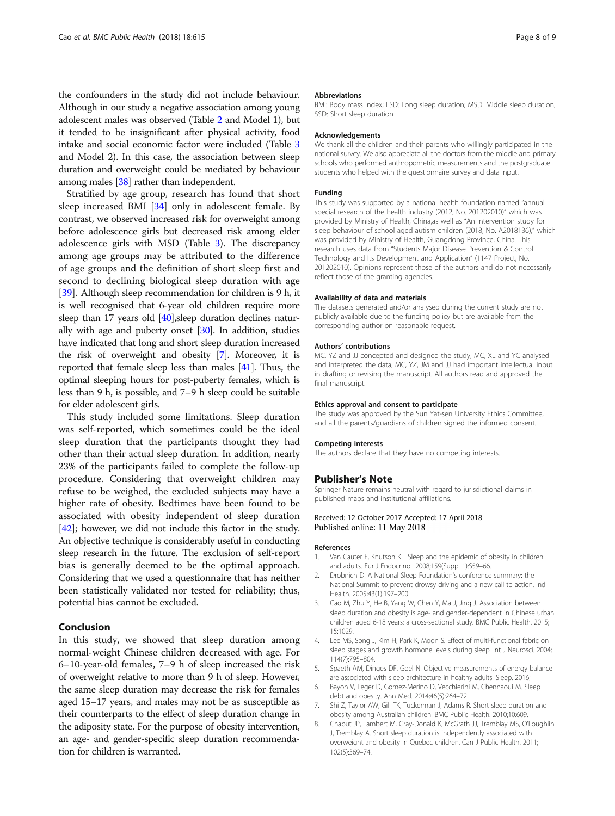<span id="page-7-0"></span>the confounders in the study did not include behaviour. Although in our study a negative association among young adolescent males was observed (Table [2](#page-5-0) and Model 1), but it tended to be insignificant after physical activity, food intake and social economic factor were included (Table [3](#page-6-0) and Model 2). In this case, the association between sleep duration and overweight could be mediated by behaviour among males [[38](#page-8-0)] rather than independent.

Stratified by age group, research has found that short sleep increased BMI [\[34](#page-8-0)] only in adolescent female. By contrast, we observed increased risk for overweight among before adolescence girls but decreased risk among elder adolescence girls with MSD (Table [3](#page-6-0)). The discrepancy among age groups may be attributed to the difference of age groups and the definition of short sleep first and second to declining biological sleep duration with age [[39\]](#page-8-0). Although sleep recommendation for children is 9 h, it is well recognised that 6-year old children require more sleep than 17 years old [\[40\]](#page-8-0),sleep duration declines naturally with age and puberty onset [[30](#page-8-0)]. In addition, studies have indicated that long and short sleep duration increased the risk of overweight and obesity [7]. Moreover, it is reported that female sleep less than males [[41](#page-8-0)]. Thus, the optimal sleeping hours for post-puberty females, which is less than 9 h, is possible, and 7–9 h sleep could be suitable for elder adolescent girls.

This study included some limitations. Sleep duration was self-reported, which sometimes could be the ideal sleep duration that the participants thought they had other than their actual sleep duration. In addition, nearly 23% of the participants failed to complete the follow-up procedure. Considering that overweight children may refuse to be weighed, the excluded subjects may have a higher rate of obesity. Bedtimes have been found to be associated with obesity independent of sleep duration [[42\]](#page-8-0); however, we did not include this factor in the study. An objective technique is considerably useful in conducting sleep research in the future. The exclusion of self-report bias is generally deemed to be the optimal approach. Considering that we used a questionnaire that has neither been statistically validated nor tested for reliability; thus, potential bias cannot be excluded.

## Conclusion

In this study, we showed that sleep duration among normal-weight Chinese children decreased with age. For 6–10-year-old females, 7–9 h of sleep increased the risk of overweight relative to more than 9 h of sleep. However, the same sleep duration may decrease the risk for females aged 15–17 years, and males may not be as susceptible as their counterparts to the effect of sleep duration change in the adiposity state. For the purpose of obesity intervention, an age- and gender-specific sleep duration recommendation for children is warranted.

#### Abbreviations

BMI: Body mass index; LSD: Long sleep duration; MSD: Middle sleep duration; SSD: Short sleep duration

#### Acknowledgements

We thank all the children and their parents who willingly participated in the national survey. We also appreciate all the doctors from the middle and primary schools who performed anthropometric measurements and the postgraduate students who helped with the questionnaire survey and data input.

#### Funding

This study was supported by a national health foundation named "annual special research of the health industry (2012, No. 201202010)" which was provided by Ministry of Health, China,as well as "An intervention study for sleep behaviour of school aged autism children (2018, No. A2018136)," which was provided by Ministry of Health, Guangdong Province, China. This research uses data from "Students Major Disease Prevention & Control Technology and Its Development and Application" (1147 Project, No. 201202010). Opinions represent those of the authors and do not necessarily reflect those of the granting agencies.

#### Availability of data and materials

The datasets generated and/or analysed during the current study are not publicly available due to the funding policy but are available from the corresponding author on reasonable request.

#### Authors' contributions

MC, YZ and JJ concepted and designed the study; MC, XL and YC analysed and interpreted the data; MC, YZ, JM and JJ had important intellectual input in drafting or revising the manuscript. All authors read and approved the final manuscript.

#### Ethics approval and consent to participate

The study was approved by the Sun Yat-sen University Ethics Committee, and all the parents/guardians of children signed the informed consent.

#### Competing interests

The authors declare that they have no competing interests.

### Publisher's Note

Springer Nature remains neutral with regard to jurisdictional claims in published maps and institutional affiliations.

## Received: 12 October 2017 Accepted: 17 April 2018 Published online: 11 May 2018

#### References

- 1. Van Cauter E, Knutson KL. Sleep and the epidemic of obesity in children and adults. Eur J Endocrinol. 2008;159(Suppl 1):S59–66.
- 2. Drobnich D. A National Sleep Foundation's conference summary: the National Summit to prevent drowsy driving and a new call to action. Ind Health. 2005;43(1):197–200.
- Cao M, Zhu Y, He B, Yang W, Chen Y, Ma J, Jing J. Association between sleep duration and obesity is age- and gender-dependent in Chinese urban children aged 6-18 years: a cross-sectional study. BMC Public Health. 2015; 15:1029.
- 4. Lee MS, Song J, Kim H, Park K, Moon S. Effect of multi-functional fabric on sleep stages and growth hormone levels during sleep. Int J Neurosci. 2004; 114(7):795–804.
- Spaeth AM, Dinges DF, Goel N. Objective measurements of energy balance are associated with sleep architecture in healthy adults. Sleep. 2016;
- 6. Bayon V, Leger D, Gomez-Merino D, Vecchierini M, Chennaoui M. Sleep debt and obesity. Ann Med. 2014;46(5):264–72.
- 7. Shi Z, Taylor AW, Gill TK, Tuckerman J, Adams R. Short sleep duration and obesity among Australian children. BMC Public Health. 2010;10:609.
- 8. Chaput JP, Lambert M, Gray-Donald K, McGrath JJ, Tremblay MS, O'Loughlin J, Tremblay A. Short sleep duration is independently associated with overweight and obesity in Quebec children. Can J Public Health. 2011; 102(5):369–74.